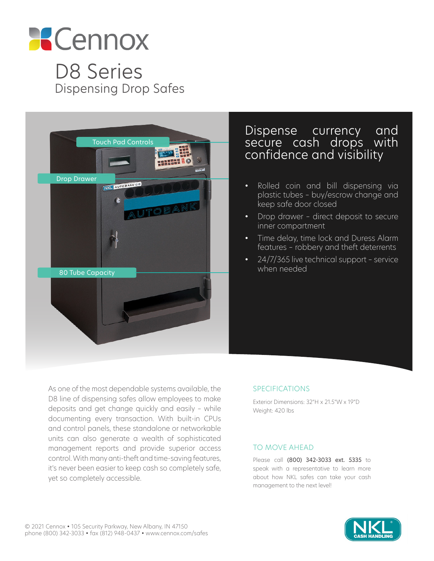

D8 Series Dispensing Drop Safes



# Dispense currency and secure cash drops with confidence and visibility

- Rolled coin and bill dispensing via plastic tubes – buy/escrow change and keep safe door closed
- Drop drawer direct deposit to secure inner compartment
- Time delay, time lock and Duress Alarm features – robbery and theft deterrents
- 24/7/365 live technical support service when needed

As one of the most dependable systems available, the D8 line of dispensing safes allow employees to make deposits and get change quickly and easily – while documenting every transaction. With built-in CPUs and control panels, these standalone or networkable units can also generate a wealth of sophisticated management reports and provide superior access control. With many anti-theft and time-saving features, it's never been easier to keep cash so completely safe, yet so completely accessible.

# SPECIFICATIONS

Exterior Dimensions: 32"H x 21.5"W x 19"D Weight: 420 lbs

### TO MOVE AHEAD

Please call (800) 342-3033 ext. 5335 to speak with a representative to learn more about how NKL safes can take your cash management to the next level!